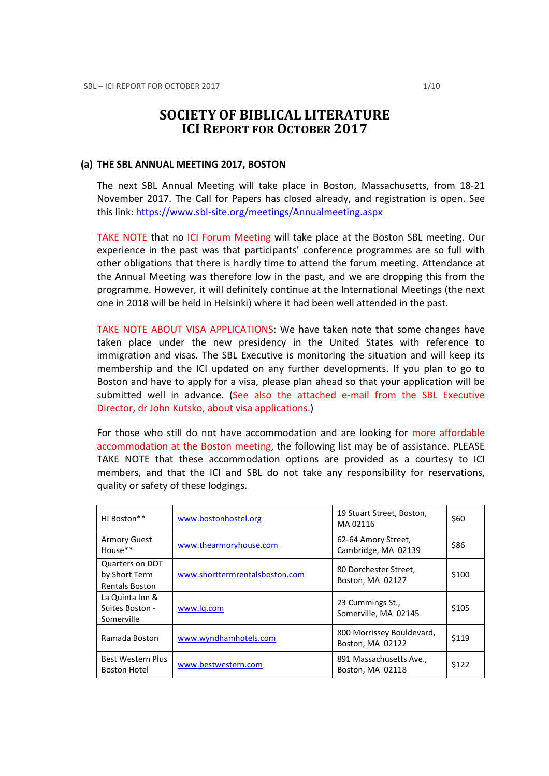# SOCIETY OF BIBLICAL LITERATURE ICI REPORT FOR OCTOBER 2017

#### (a) THE SBL ANNUAL MEETING 2017, BOSTON

The next SBL Annual Meeting will take place in Boston, Massachusetts, from 18-21 November 2017. The Call for Papers has closed already, and registration is open. See this link: https://www.sbl-site.org/meetings/Annualmeeting.aspx

TAKE NOTE that no ICI Forum Meeting will take place at the Boston SBL meeting. Our experience in the past was that participants' conference programmes are so full with other obligations that there is hardly time to attend the forum meeting. Attendance at the Annual Meeting was therefore low in the past, and we are dropping this from the programme. However, it will definitely continue at the International Meetings (the next one in 2018 will be held in Helsinki) where it had been well attended in the past.

TAKE NOTE ABOUT VISA APPLICATIONS: We have taken note that some changes have taken place under the new presidency in the United States with reference to immigration and visas. The SBL Executive is monitoring the situation and will keep its membership and the ICI updated on any further developments. If you plan to go to Boston and have to apply for a visa, please plan ahead so that your application will be submitted well in advance. (See also the attached e-mail from the SBL Executive Director, dr John Kutsko, about visa applications.)

For those who still do not have accommodation and are looking for more affordable accommodation at the Boston meeting, the following list may be of assistance. PLEASE TAKE NOTE that these accommodation options are provided as a courtesy to ICI members, and that the ICI and SBL do not take any responsibility for reservations, quality or safety of these lodgings.

| HI Boston**                                               | www.bostonhostel.org           | 19 Stuart Street, Boston,<br>MA02116          | \$60  |
|-----------------------------------------------------------|--------------------------------|-----------------------------------------------|-------|
| <b>Armory Guest</b><br>House**                            | www.thearmoryhouse.com         | 62-64 Amory Street,<br>Cambridge, MA 02139    | \$86  |
| Quarters on DOT<br>by Short Term<br><b>Rentals Boston</b> | www.shorttermrentalsboston.com | 80 Dorchester Street,<br>Boston, MA 02127     | \$100 |
| La Quinta Inn &<br>Suites Boston -<br>Somerville          | www.lg.com                     | 23 Cummings St.,<br>Somerville, MA 02145      | \$105 |
| Ramada Boston                                             | www.wyndhamhotels.com          | 800 Morrissey Bouldevard,<br>Boston, MA 02122 | \$119 |
| Best Western Plus<br><b>Boston Hotel</b>                  | www.bestwestern.com            | 891 Massachusetts Ave.,<br>Boston, MA 02118   | \$122 |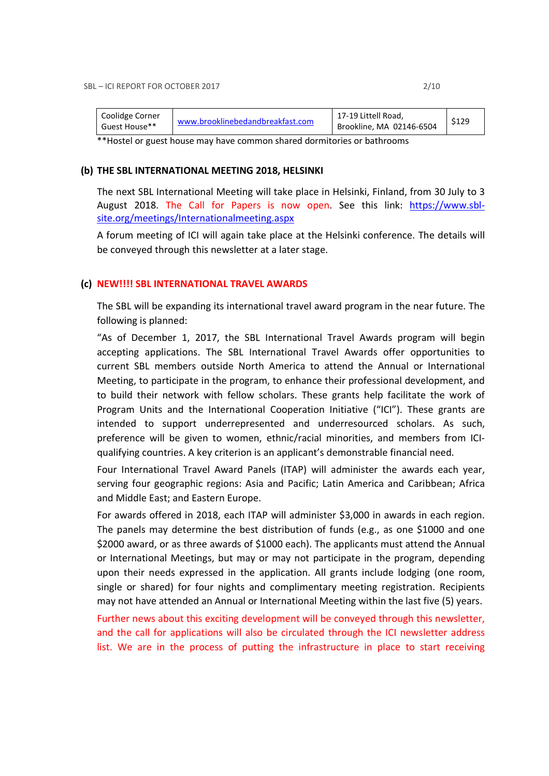| Coolidge Corner<br>Guest House** | www.brooklinebedandbreakfast.com | 17-19 Littell Road,<br>Brookline, MA 02146-6504 | \$129 |
|----------------------------------|----------------------------------|-------------------------------------------------|-------|
|                                  |                                  |                                                 |       |

\*\*Hostel or guest house may have common shared dormitories or bathrooms

#### (b) THE SBL INTERNATIONAL MEETING 2018, HELSINKI

The next SBL International Meeting will take place in Helsinki, Finland, from 30 July to 3 August 2018. The Call for Papers is now open. See this link: https://www.sblsite.org/meetings/Internationalmeeting.aspx

A forum meeting of ICI will again take place at the Helsinki conference. The details will be conveyed through this newsletter at a later stage.

#### (c) NEW!!!! SBL INTERNATIONAL TRAVEL AWARDS

The SBL will be expanding its international travel award program in the near future. The following is planned:

"As of December 1, 2017, the SBL International Travel Awards program will begin accepting applications. The SBL International Travel Awards offer opportunities to current SBL members outside North America to attend the Annual or International Meeting, to participate in the program, to enhance their professional development, and to build their network with fellow scholars. These grants help facilitate the work of Program Units and the International Cooperation Initiative ("ICI"). These grants are intended to support underrepresented and underresourced scholars. As such, preference will be given to women, ethnic/racial minorities, and members from ICIqualifying countries. A key criterion is an applicant's demonstrable financial need.

Four International Travel Award Panels (ITAP) will administer the awards each year, serving four geographic regions: Asia and Pacific; Latin America and Caribbean; Africa and Middle East; and Eastern Europe.

For awards offered in 2018, each ITAP will administer \$3,000 in awards in each region. The panels may determine the best distribution of funds (e.g., as one \$1000 and one \$2000 award, or as three awards of \$1000 each). The applicants must attend the Annual or International Meetings, but may or may not participate in the program, depending upon their needs expressed in the application. All grants include lodging (one room, single or shared) for four nights and complimentary meeting registration. Recipients may not have attended an Annual or International Meeting within the last five (5) years.

Further news about this exciting development will be conveyed through this newsletter, and the call for applications will also be circulated through the ICI newsletter address list. We are in the process of putting the infrastructure in place to start receiving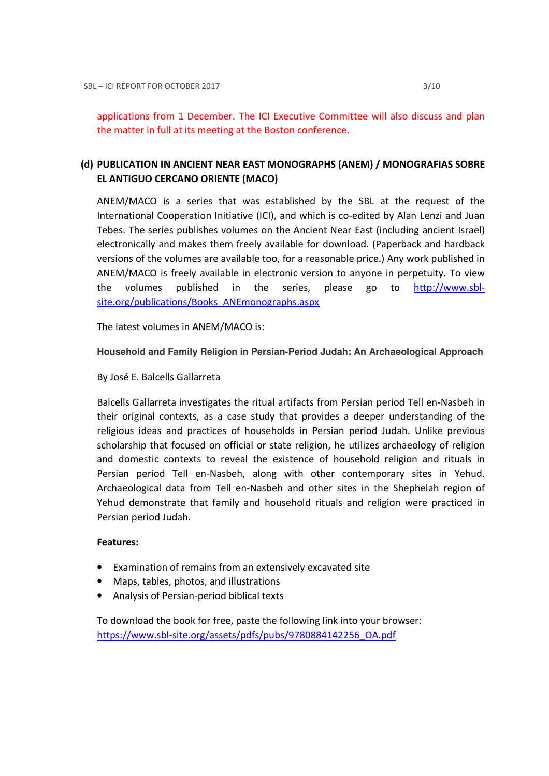# (d) PUBLICATION IN ANCIENT NEAR EAST MONOGRAPHS (ANEM) / MONOGRAFIAS SOBRE EL ANTIGUO CERCANO ORIENTE (MACO)

ANEM/MACO is a series that was established by the SBL at the request of the International Cooperation Initiative (ICI), and which is co-edited by Alan Lenzi and Juan Tebes. The series publishes volumes on the Ancient Near East (including ancient Israel) electronically and makes them freely available for download. (Paperback and hardback versions of the volumes are available too, for a reasonable price.) Any work published in ANEM/MACO is freely available in electronic version to anyone in perpetuity. To view the volumes published in the series, please go to http://www.sblsite.org/publications/Books\_ANEmonographs.aspx

The latest volumes in ANEM/MACO is:

## **Household and Family Religion in Persian-Period Judah: An Archaeological Approach**

By José E. Balcells Gallarreta

Balcells Gallarreta investigates the ritual artifacts from Persian period Tell en-Nasbeh in their original contexts, as a case study that provides a deeper understanding of the religious ideas and practices of households in Persian period Judah. Unlike previous scholarship that focused on official or state religion, he utilizes archaeology of religion and domestic contexts to reveal the existence of household religion and rituals in Persian period Tell en-Nasbeh, along with other contemporary sites in Yehud. Archaeological data from Tell en-Nasbeh and other sites in the Shephelah region of Yehud demonstrate that family and household rituals and religion were practiced in Persian period Judah.

## Features:

- Examination of remains from an extensively excavated site
- Maps, tables, photos, and illustrations
- Analysis of Persian-period biblical texts

To download the book for free, paste the following link into your browser: https://www.sbl-site.org/assets/pdfs/pubs/9780884142256\_OA.pdf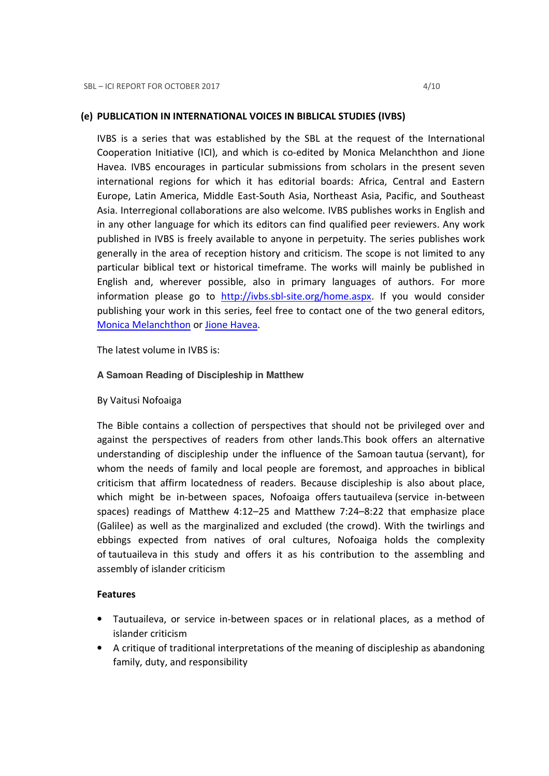### (e) PUBLICATION IN INTERNATIONAL VOICES IN BIBLICAL STUDIES (IVBS)

IVBS is a series that was established by the SBL at the request of the International Cooperation Initiative (ICI), and which is co-edited by Monica Melanchthon and Jione Havea. IVBS encourages in particular submissions from scholars in the present seven international regions for which it has editorial boards: Africa, Central and Eastern Europe, Latin America, Middle East-South Asia, Northeast Asia, Pacific, and Southeast Asia. Interregional collaborations are also welcome. IVBS publishes works in English and in any other language for which its editors can find qualified peer reviewers. Any work published in IVBS is freely available to anyone in perpetuity. The series publishes work generally in the area of reception history and criticism. The scope is not limited to any particular biblical text or historical timeframe. The works will mainly be published in English and, wherever possible, also in primary languages of authors. For more information please go to http://ivbs.sbl-site.org/home.aspx. If you would consider publishing your work in this series, feel free to contact one of the two general editors, Monica Melanchthon or Jione Havea.

The latest volume in IVBS is:

#### **A Samoan Reading of Discipleship in Matthew**

By Vaitusi Nofoaiga

The Bible contains a collection of perspectives that should not be privileged over and against the perspectives of readers from other lands.This book offers an alternative understanding of discipleship under the influence of the Samoan tautua (servant), for whom the needs of family and local people are foremost, and approaches in biblical criticism that affirm locatedness of readers. Because discipleship is also about place, which might be in-between spaces, Nofoaiga offers tautuaileva (service in-between spaces) readings of Matthew 4:12–25 and Matthew 7:24–8:22 that emphasize place (Galilee) as well as the marginalized and excluded (the crowd). With the twirlings and ebbings expected from natives of oral cultures, Nofoaiga holds the complexity of tautuaileva in this study and offers it as his contribution to the assembling and assembly of islander criticism

#### Features

- Tautuaileva, or service in-between spaces or in relational places, as a method of islander criticism
- A critique of traditional interpretations of the meaning of discipleship as abandoning family, duty, and responsibility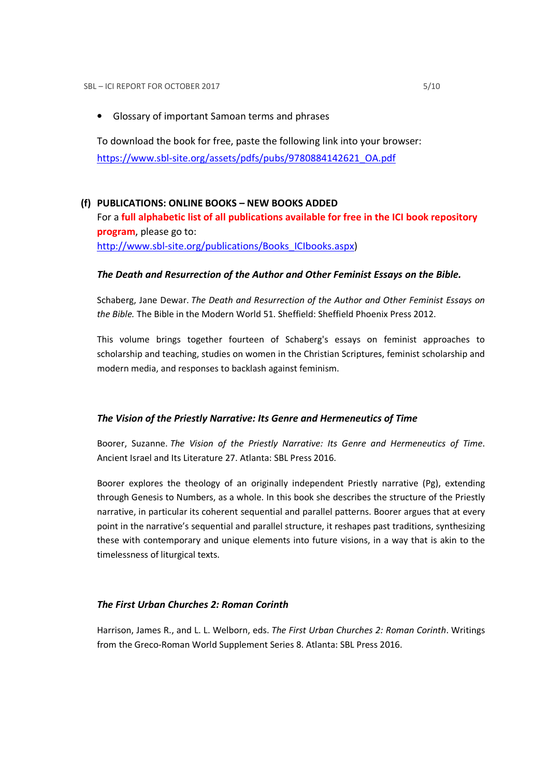• Glossary of important Samoan terms and phrases

To download the book for free, paste the following link into your browser: https://www.sbl-site.org/assets/pdfs/pubs/9780884142621\_OA.pdf

# (f) PUBLICATIONS: ONLINE BOOKS – NEW BOOKS ADDED For a full alphabetic list of all publications available for free in the ICI book repository program, please go to: http://www.sbl-site.org/publications/Books\_ICIbooks.aspx)

## The Death and Resurrection of the Author and Other Feminist Essays on the Bible.

Schaberg, Jane Dewar. The Death and Resurrection of the Author and Other Feminist Essays on the Bible. The Bible in the Modern World 51. Sheffield: Sheffield Phoenix Press 2012.

This volume brings together fourteen of Schaberg's essays on feminist approaches to scholarship and teaching, studies on women in the Christian Scriptures, feminist scholarship and modern media, and responses to backlash against feminism.

## The Vision of the Priestly Narrative: Its Genre and Hermeneutics of Time

Boorer, Suzanne. The Vision of the Priestly Narrative: Its Genre and Hermeneutics of Time. Ancient Israel and Its Literature 27. Atlanta: SBL Press 2016.

Boorer explores the theology of an originally independent Priestly narrative (Pg), extending through Genesis to Numbers, as a whole. In this book she describes the structure of the Priestly narrative, in particular its coherent sequential and parallel patterns. Boorer argues that at every point in the narrative's sequential and parallel structure, it reshapes past traditions, synthesizing these with contemporary and unique elements into future visions, in a way that is akin to the timelessness of liturgical texts.

## The First Urban Churches 2: Roman Corinth

Harrison, James R., and L. L. Welborn, eds. The First Urban Churches 2: Roman Corinth. Writings from the Greco-Roman World Supplement Series 8. Atlanta: SBL Press 2016.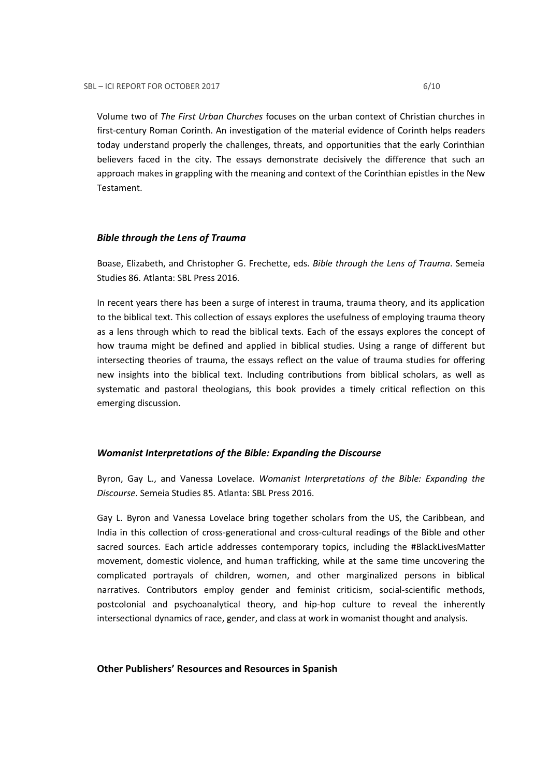Volume two of The First Urban Churches focuses on the urban context of Christian churches in first-century Roman Corinth. An investigation of the material evidence of Corinth helps readers today understand properly the challenges, threats, and opportunities that the early Corinthian believers faced in the city. The essays demonstrate decisively the difference that such an approach makes in grappling with the meaning and context of the Corinthian epistles in the New Testament.

#### Bible through the Lens of Trauma

Boase, Elizabeth, and Christopher G. Frechette, eds. Bible through the Lens of Trauma. Semeia Studies 86. Atlanta: SBL Press 2016.

In recent years there has been a surge of interest in trauma, trauma theory, and its application to the biblical text. This collection of essays explores the usefulness of employing trauma theory as a lens through which to read the biblical texts. Each of the essays explores the concept of how trauma might be defined and applied in biblical studies. Using a range of different but intersecting theories of trauma, the essays reflect on the value of trauma studies for offering new insights into the biblical text. Including contributions from biblical scholars, as well as systematic and pastoral theologians, this book provides a timely critical reflection on this emerging discussion.

#### Womanist Interpretations of the Bible: Expanding the Discourse

Byron, Gay L., and Vanessa Lovelace. Womanist Interpretations of the Bible: Expanding the Discourse. Semeia Studies 85. Atlanta: SBL Press 2016.

Gay L. Byron and Vanessa Lovelace bring together scholars from the US, the Caribbean, and India in this collection of cross-generational and cross-cultural readings of the Bible and other sacred sources. Each article addresses contemporary topics, including the #BlackLivesMatter movement, domestic violence, and human trafficking, while at the same time uncovering the complicated portrayals of children, women, and other marginalized persons in biblical narratives. Contributors employ gender and feminist criticism, social-scientific methods, postcolonial and psychoanalytical theory, and hip-hop culture to reveal the inherently intersectional dynamics of race, gender, and class at work in womanist thought and analysis.

#### Other Publishers' Resources and Resources in Spanish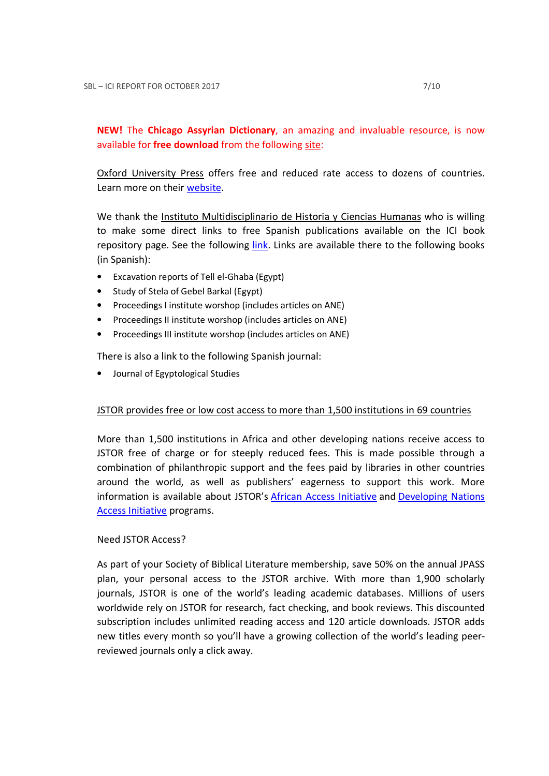## NEW! The Chicago Assyrian Dictionary, an amazing and invaluable resource, is now available for free download from the following site:

Oxford University Press offers free and reduced rate access to dozens of countries. Learn more on their website.

We thank the Instituto Multidisciplinario de Historia y Ciencias Humanas who is willing to make some direct links to free Spanish publications available on the ICI book repository page. See the following link. Links are available there to the following books (in Spanish):

- Excavation reports of Tell el-Ghaba (Egypt)
- Study of Stela of Gebel Barkal (Egypt)
- Proceedings I institute worshop (includes articles on ANE)
- Proceedings II institute worshop (includes articles on ANE)
- Proceedings III institute worshop (includes articles on ANE)

There is also a link to the following Spanish journal:

• Journal of Egyptological Studies

## JSTOR provides free or low cost access to more than 1,500 institutions in 69 countries

More than 1,500 institutions in Africa and other developing nations receive access to JSTOR free of charge or for steeply reduced fees. This is made possible through a combination of philanthropic support and the fees paid by libraries in other countries around the world, as well as publishers' eagerness to support this work. More information is available about JSTOR's African Access Initiative and Developing Nations Access Initiative programs.

## Need JSTOR Access?

As part of your Society of Biblical Literature membership, save 50% on the annual JPASS plan, your personal access to the JSTOR archive. With more than 1,900 scholarly journals, JSTOR is one of the world's leading academic databases. Millions of users worldwide rely on JSTOR for research, fact checking, and book reviews. This discounted subscription includes unlimited reading access and 120 article downloads. JSTOR adds new titles every month so you'll have a growing collection of the world's leading peerreviewed journals only a click away.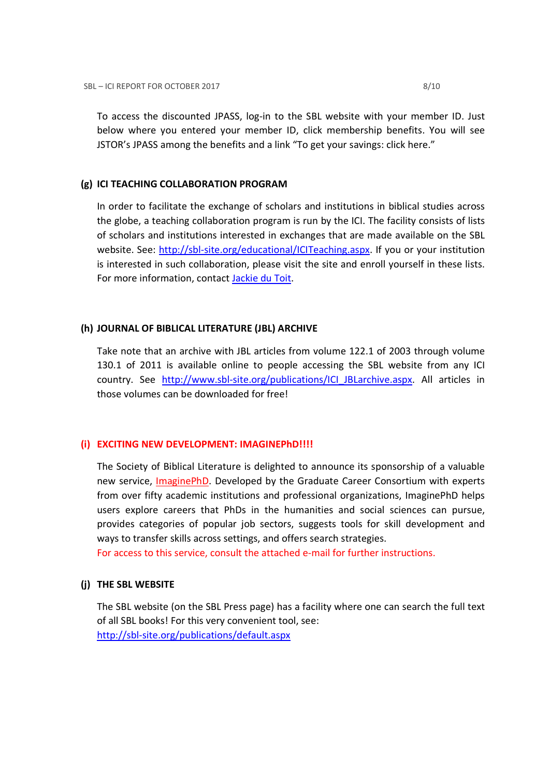To access the discounted JPASS, log-in to the SBL website with your member ID. Just below where you entered your member ID, click membership benefits. You will see JSTOR's JPASS among the benefits and a link "To get your savings: click here."

#### (g) ICI TEACHING COLLABORATION PROGRAM

In order to facilitate the exchange of scholars and institutions in biblical studies across the globe, a teaching collaboration program is run by the ICI. The facility consists of lists of scholars and institutions interested in exchanges that are made available on the SBL website. See: http://sbl-site.org/educational/ICITeaching.aspx. If you or your institution is interested in such collaboration, please visit the site and enroll yourself in these lists. For more information, contact Jackie du Toit.

## (h) JOURNAL OF BIBLICAL LITERATURE (JBL) ARCHIVE

Take note that an archive with JBL articles from volume 122.1 of 2003 through volume 130.1 of 2011 is available online to people accessing the SBL website from any ICI country. See http://www.sbl-site.org/publications/ICI\_JBLarchive.aspx. All articles in those volumes can be downloaded for free!

## (i) EXCITING NEW DEVELOPMENT: IMAGINEPhD!!!!

The Society of Biblical Literature is delighted to announce its sponsorship of a valuable new service, ImaginePhD. Developed by the Graduate Career Consortium with experts from over fifty academic institutions and professional organizations, ImaginePhD helps users explore careers that PhDs in the humanities and social sciences can pursue, provides categories of popular job sectors, suggests tools for skill development and ways to transfer skills across settings, and offers search strategies.

For access to this service, consult the attached e-mail for further instructions.

## (j) THE SBL WEBSITE

The SBL website (on the SBL Press page) has a facility where one can search the full text of all SBL books! For this very convenient tool, see: http://sbl-site.org/publications/default.aspx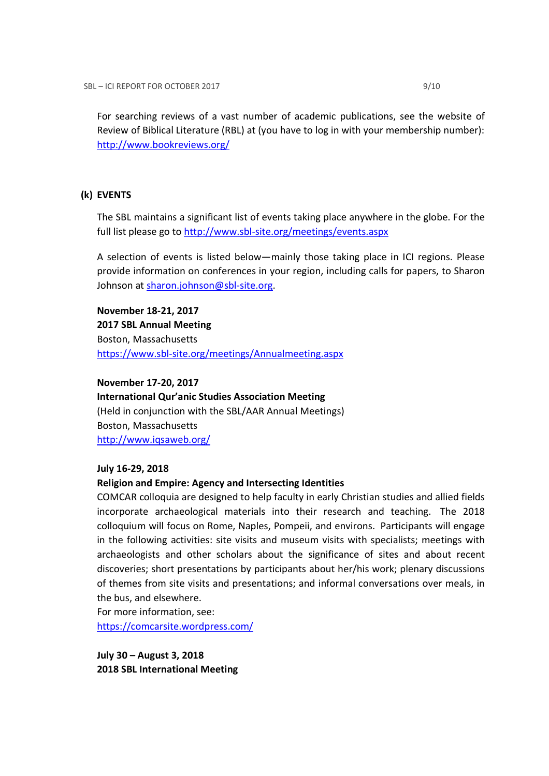For searching reviews of a vast number of academic publications, see the website of Review of Biblical Literature (RBL) at (you have to log in with your membership number): http://www.bookreviews.org/

#### (k) EVENTS

The SBL maintains a significant list of events taking place anywhere in the globe. For the full list please go to http://www.sbl-site.org/meetings/events.aspx

A selection of events is listed below—mainly those taking place in ICI regions. Please provide information on conferences in your region, including calls for papers, to Sharon Johnson at sharon.johnson@sbl-site.org.

November 18-21, 2017 2017 SBL Annual Meeting Boston, Massachusetts https://www.sbl-site.org/meetings/Annualmeeting.aspx

November 17-20, 2017 International Qur'anic Studies Association Meeting (Held in conjunction with the SBL/AAR Annual Meetings) Boston, Massachusetts http://www.iqsaweb.org/

#### July 16-29, 2018

#### Religion and Empire: Agency and Intersecting Identities

COMCAR colloquia are designed to help faculty in early Christian studies and allied fields incorporate archaeological materials into their research and teaching. The 2018 colloquium will focus on Rome, Naples, Pompeii, and environs. Participants will engage in the following activities: site visits and museum visits with specialists; meetings with archaeologists and other scholars about the significance of sites and about recent discoveries; short presentations by participants about her/his work; plenary discussions of themes from site visits and presentations; and informal conversations over meals, in the bus, and elsewhere.

For more information, see: https://comcarsite.wordpress.com/

July 30 – August 3, 2018 2018 SBL International Meeting